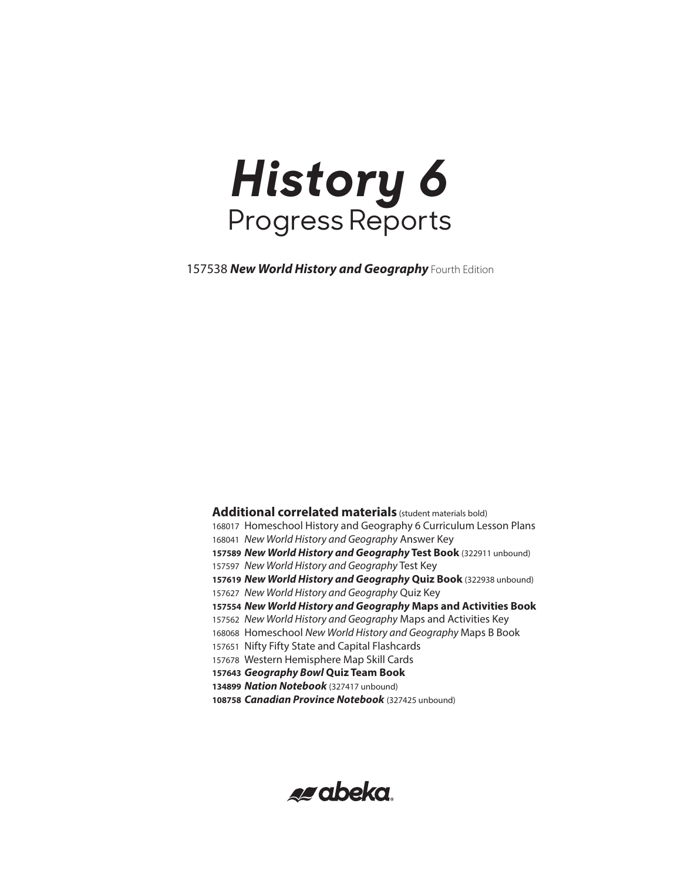

*New World History and Geography* Fourth Edition

**Additional correlated materials** (student materials bold) Homeschool History and Geography 6 Curriculum Lesson Plans *New World History and Geography* Answer Key *New World History and Geography* **Test Book** (322911 unbound) *New World History and Geography* Test Key *New World History and Geography* **Quiz Book** (322938 unbound) *New World History and Geography* Quiz Key *New World History and Geography* **Maps and Activities Book** *New World History and Geography* Maps and Activities Key Homeschool *New World History and Geography* Maps B Book Nifty Fifty State and Capital Flashcards Western Hemisphere Map Skill Cards *Geography Bowl* **Quiz Team Book** *Nation Notebook* (327417 unbound) *Canadian Province Notebook* (327425 unbound)

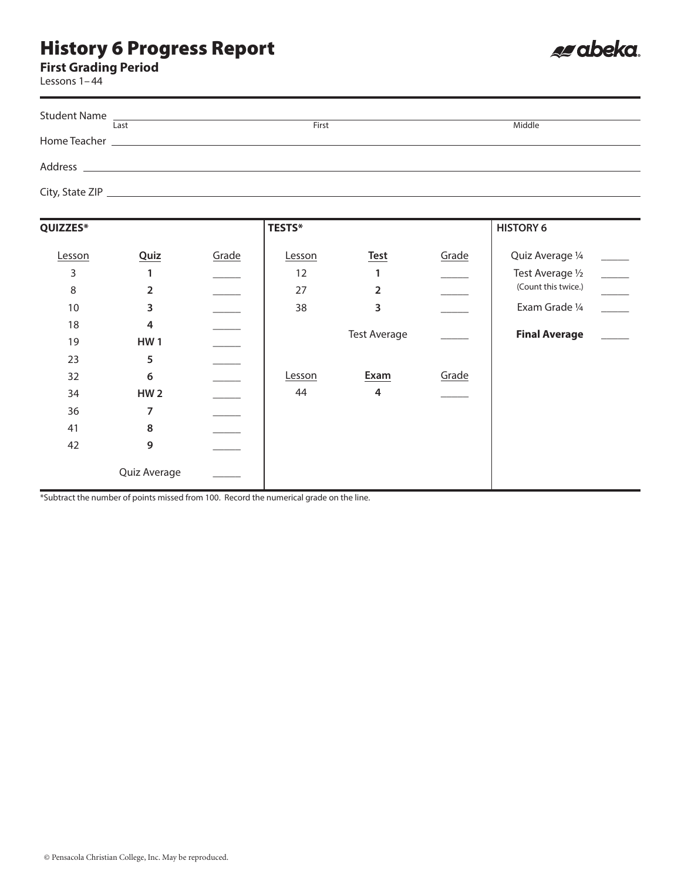**First Grading Period**

Lessons 1–44

| Last | First | Middle |
|------|-------|--------|
|      |       |        |
|      |       |        |
|      |       |        |
|      |       |        |
|      |       |        |
|      |       |        |
|      |       |        |

es abeka.

| QUIZZES* |                |       | <b>TESTS*</b> |                     |       | <b>HISTORY 6</b>                             |
|----------|----------------|-------|---------------|---------------------|-------|----------------------------------------------|
| Lesson   | Quiz           | Grade | Lesson        | <b>Test</b>         | Grade | Quiz Average 1/4                             |
| 3        |                |       | 12            |                     |       | Test Average 1/2<br>$\overline{\phantom{a}}$ |
| 8        | $\overline{2}$ |       | 27            | 2                   |       | (Count this twice.)                          |
| 10       | 3              |       | 38            | 3                   |       | Exam Grade 1/4                               |
| 18       | 4              |       |               |                     |       |                                              |
| 19       | <b>HW1</b>     |       |               | <b>Test Average</b> |       | <b>Final Average</b>                         |
| 23       | 5              |       |               |                     |       |                                              |
| 32       | 6              |       | Lesson        | Exam                | Grade |                                              |
| 34       | <b>HW2</b>     |       | 44            | 4                   |       |                                              |
| 36       | 7              |       |               |                     |       |                                              |
| 41       | 8              |       |               |                     |       |                                              |
| 42       | 9              |       |               |                     |       |                                              |
|          | Quiz Average   |       |               |                     |       |                                              |

\*Subtract the number of points missed from 100. Record the numerical grade on the line.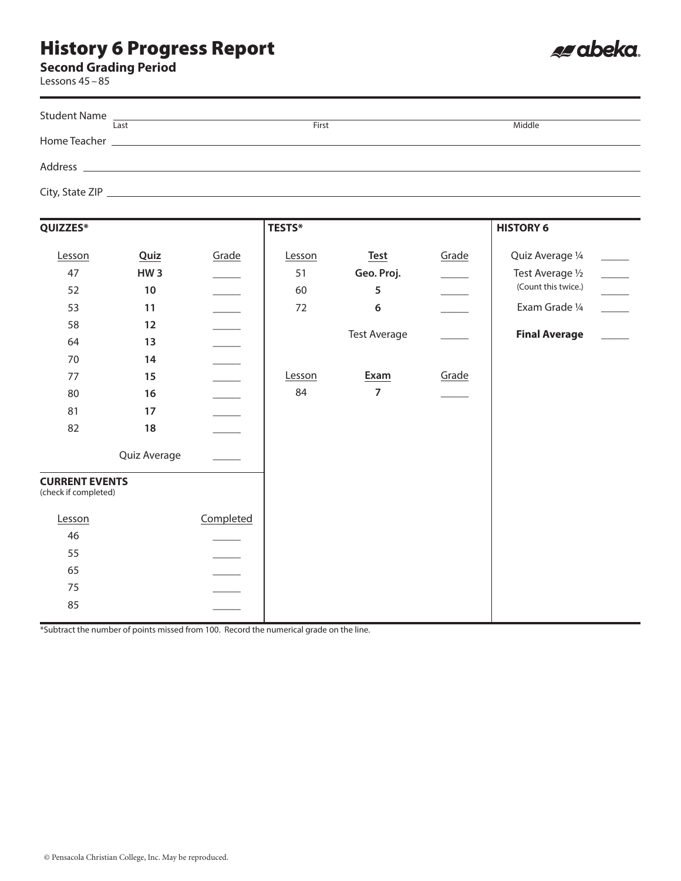81 **17** \_\_\_\_\_ 82 **18** \_\_\_\_\_

Quiz Average

Lesson Completed 46 \_\_\_\_\_ 55 \_\_\_\_\_ 65 \_\_\_\_\_ 75 \_\_\_\_\_ 85 \_\_\_\_\_

**CURRENT EVENTS** (check if completed)

**Second Grading Period**

Lessons 45–85

| <b>Student Name</b> |                 |                          |               |                     |                          |                      |                                  |
|---------------------|-----------------|--------------------------|---------------|---------------------|--------------------------|----------------------|----------------------------------|
|                     | Last            |                          | First         |                     |                          | Middle               |                                  |
|                     |                 |                          |               |                     |                          |                      |                                  |
|                     |                 |                          |               |                     |                          |                      |                                  |
|                     |                 |                          |               |                     |                          |                      |                                  |
| QUIZZES*            |                 |                          | <b>TESTS*</b> |                     |                          | <b>HISTORY 6</b>     |                                  |
| Lesson              | Quiz            | Grade                    | Lesson        | <b>Test</b>         | Grade                    | Quiz Average 1/4     |                                  |
| 47                  | HW <sub>3</sub> |                          | 51            | Geo. Proj.          |                          | Test Average 1/2     | $\frac{1}{1}$                    |
| 52                  | 10              | $\frac{1}{1}$            | 60            | 5                   | $\overline{\phantom{a}}$ | (Count this twice.)  |                                  |
| 53                  | 11              | $\overline{\phantom{a}}$ | 72            | 6                   | $\overline{\phantom{a}}$ | Exam Grade 1/4       | $\frac{1}{\sqrt{1-\frac{1}{2}}}$ |
| 58                  | 12              |                          |               |                     |                          |                      |                                  |
| 64                  | 13              |                          |               | <b>Test Average</b> |                          | <b>Final Average</b> |                                  |
| 70                  | 14              |                          |               |                     |                          |                      |                                  |
| 77                  | 15              |                          | Lesson        | Exam                | Grade                    |                      |                                  |
| 80                  | 16              |                          | 84            | 7                   |                          |                      |                                  |

e abeka.

\*Subtract the number of points missed from 100. Record the numerical grade on the line.

© Pensacola Christian College, Inc. May be reproduced.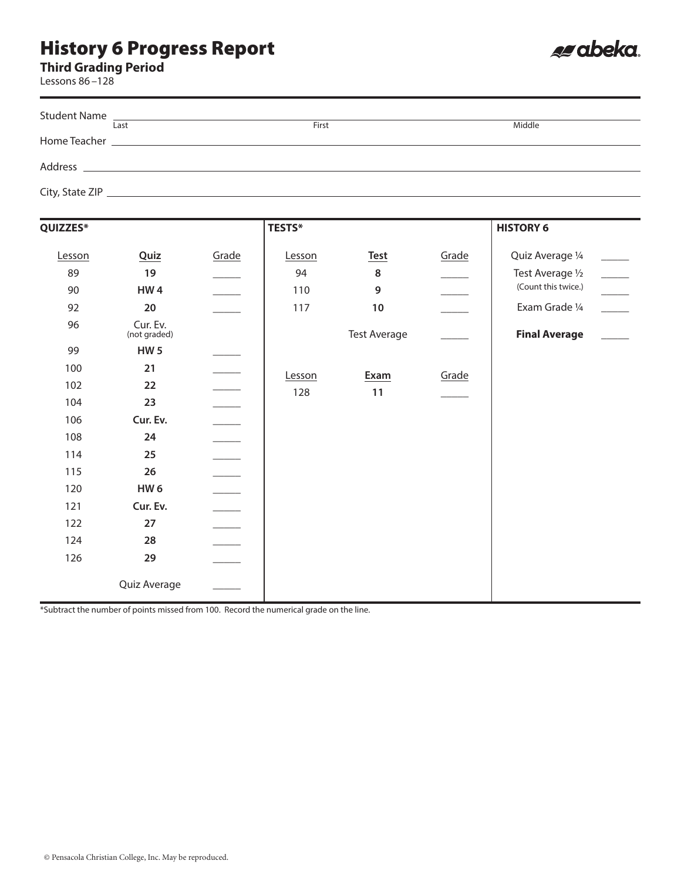**Third Grading Period**

Lessons 86-128

| Last | First | Middle |
|------|-------|--------|
|      |       |        |
|      |       |        |
|      |       |        |
|      |       |        |
|      |       |        |

es abeka.

| QUIZZES* |                          |       | <b>TESTS*</b> |                     |       | <b>HISTORY 6</b>                                |
|----------|--------------------------|-------|---------------|---------------------|-------|-------------------------------------------------|
| Lesson   | <b>Quiz</b>              | Grade | Lesson        | <b>Test</b>         | Grade | Quiz Average 1/4                                |
| 89       | 19                       |       | 94            | 8                   |       | Test Average 1/2                                |
| 90       | HW <sub>4</sub>          |       | 110           | 9                   |       | (Count this twice.)<br>$\overline{\phantom{a}}$ |
| 92       | 20                       |       | 117           | $10\,$              |       | Exam Grade 1/4                                  |
| 96       | Cur. Ev.<br>(not graded) |       |               | <b>Test Average</b> |       | <b>Final Average</b>                            |
| 99       | <b>HW5</b>               |       |               |                     |       |                                                 |
| 100      | 21                       |       | Lesson        | Exam                | Grade |                                                 |
| 102      | 22                       |       | 128           | 11                  |       |                                                 |
| 104      | 23                       |       |               |                     |       |                                                 |
| 106      | Cur. Ev.                 |       |               |                     |       |                                                 |
| 108      | 24                       |       |               |                     |       |                                                 |
| 114      | 25                       |       |               |                     |       |                                                 |
| 115      | 26                       |       |               |                     |       |                                                 |
| 120      | HW <sub>6</sub>          |       |               |                     |       |                                                 |
| 121      | Cur. Ev.                 |       |               |                     |       |                                                 |
| 122      | 27                       |       |               |                     |       |                                                 |
| 124      | 28                       |       |               |                     |       |                                                 |
| 126      | 29                       |       |               |                     |       |                                                 |
|          | Quiz Average             |       |               |                     |       |                                                 |

\*Subtract the number of points missed from 100. Record the numerical grade on the line.